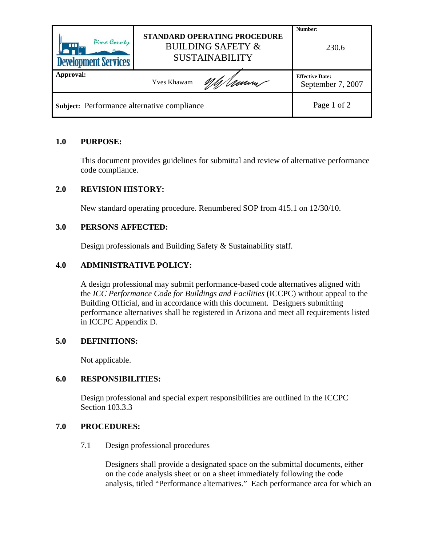| Pima County<br>$m_{\rm{m}}$<br><b>Development Services</b> | STANDARD OPERATING PROCEDURE<br><b>BUILDING SAFETY &amp;</b><br><b>SUSTAINABILITY</b> | Number:<br>230.6                            |
|------------------------------------------------------------|---------------------------------------------------------------------------------------|---------------------------------------------|
| Approval:                                                  | Umm<br><b>Yves Khawam</b>                                                             | <b>Effective Date:</b><br>September 7, 2007 |
| Subject: Performance alternative compliance                |                                                                                       | Page 1 of 2                                 |

## **1.0 PURPOSE:**

This document provides guidelines for submittal and review of alternative performance code compliance.

# **2.0 REVISION HISTORY:**

New standard operating procedure. Renumbered SOP from 415.1 on 12/30/10.

# **3.0 PERSONS AFFECTED:**

Design professionals and Building Safety & Sustainability staff.

## **4.0 ADMINISTRATIVE POLICY:**

A design professional may submit performance-based code alternatives aligned with the *ICC Performance Code for Buildings and Facilities* (ICCPC) without appeal to the Building Official, and in accordance with this document. Designers submitting performance alternatives shall be registered in Arizona and meet all requirements listed in ICCPC Appendix D.

## **5.0 DEFINITIONS:**

Not applicable.

## **6.0 RESPONSIBILITIES:**

Design professional and special expert responsibilities are outlined in the ICCPC Section 103.3.3

## **7.0 PROCEDURES:**

7.1 Design professional procedures

Designers shall provide a designated space on the submittal documents, either on the code analysis sheet or on a sheet immediately following the code analysis, titled "Performance alternatives." Each performance area for which an